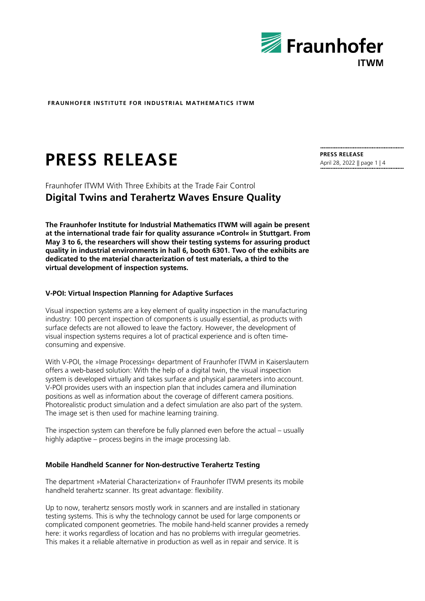

# **PRESS RELEASE PRESS RELEASE**

Fraunhofer ITWM With Three Exhibits at the Trade Fair Control **Digital Twins and Terahertz Waves Ensure Quality**

**The Fraunhofer Institute for Industrial Mathematics ITWM will again be present at the international trade fair for quality assurance »Control« in Stuttgart. From May 3 to 6, the researchers will show their testing systems for assuring product quality in industrial environments in hall 6, booth 6301. Two of the exhibits are dedicated to the material characterization of test materials, a third to the virtual development of inspection systems.**

## **V-POI: Virtual Inspection Planning for Adaptive Surfaces**

Visual inspection systems are a key element of quality inspection in the manufacturing industry: 100 percent inspection of components is usually essential, as products with surface defects are not allowed to leave the factory. However, the development of visual inspection systems requires a lot of practical experience and is often timeconsuming and expensive.

With V-POI, the »Image Processing« department of Fraunhofer ITWM in Kaiserslautern offers a web-based solution: With the help of a digital twin, the visual inspection system is developed virtually and takes surface and physical parameters into account. V-POI provides users with an inspection plan that includes camera and illumination positions as well as information about the coverage of different camera positions. Photorealistic product simulation and a defect simulation are also part of the system. The image set is then used for machine learning training.

The inspection system can therefore be fully planned even before the actual – usually highly adaptive – process begins in the image processing lab.

## **Mobile Handheld Scanner for Non-destructive Terahertz Testing**

The department »Material Characterization« of Fraunhofer ITWM presents its mobile handheld terahertz scanner. Its great advantage: flexibility.

Up to now, terahertz sensors mostly work in scanners and are installed in stationary testing systems. This is why the technology cannot be used for large components or complicated component geometries. The mobile hand-held scanner provides a remedy here: it works regardless of location and has no problems with irregular geometries. This makes it a reliable alternative in production as well as in repair and service. It is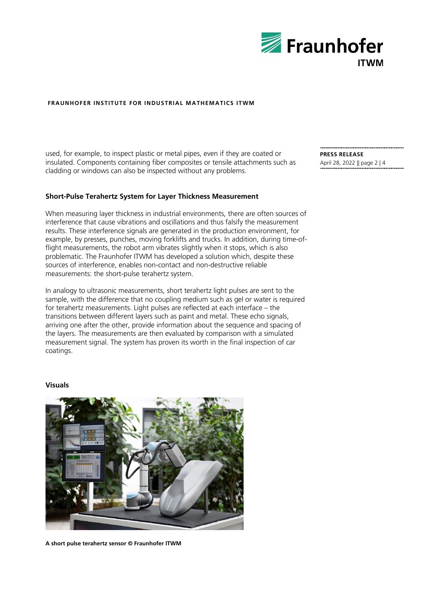

used, for example, to inspect plastic or metal pipes, even if they are coated or insulated. Components containing fiber composites or tensile attachments such as cladding or windows can also be inspected without any problems.

#### **Short-Pulse Terahertz System for Layer Thickness Measurement**

When measuring layer thickness in industrial environments, there are often sources of interference that cause vibrations and oscillations and thus falsify the measurement results. These interference signals are generated in the production environment, for example, by presses, punches, moving forklifts and trucks. In addition, during time-offlight measurements, the robot arm vibrates slightly when it stops, which is also problematic. The Fraunhofer ITWM has developed a solution which, despite these sources of interference, enables non-contact and non-destructive reliable measurements: the short-pulse terahertz system.

In analogy to ultrasonic measurements, short terahertz light pulses are sent to the sample, with the difference that no coupling medium such as gel or water is required for terahertz measurements. Light pulses are reflected at each interface – the transitions between different layers such as paint and metal. These echo signals, arriving one after the other, provide information about the sequence and spacing of the layers. The measurements are then evaluated by comparison with a simulated measurement signal. The system has proven its worth in the final inspection of car coatings.

#### **Visuals**



**A short pulse terahertz sensor © Fraunhofer ITWM**

**PRESS RELEASE** April 28, 2022 || page 2 | 4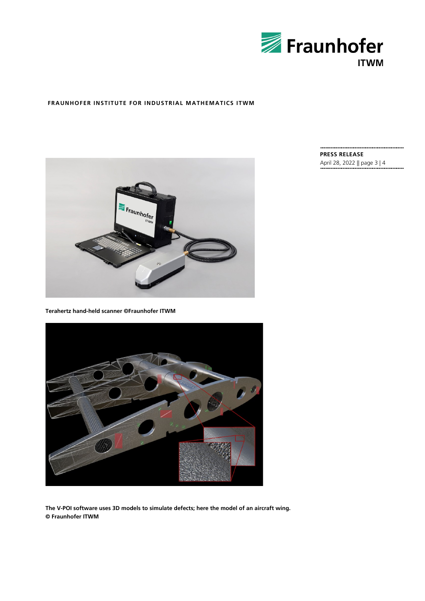



**Terahertz hand-held scanner ©Fraunhofer ITWM**



**The V-POI software uses 3D models to simulate defects; here the model of an aircraft wing. © Fraunhofer ITWM**

**PRESS RELEASE** April 28, 2022 || page 3 | 4